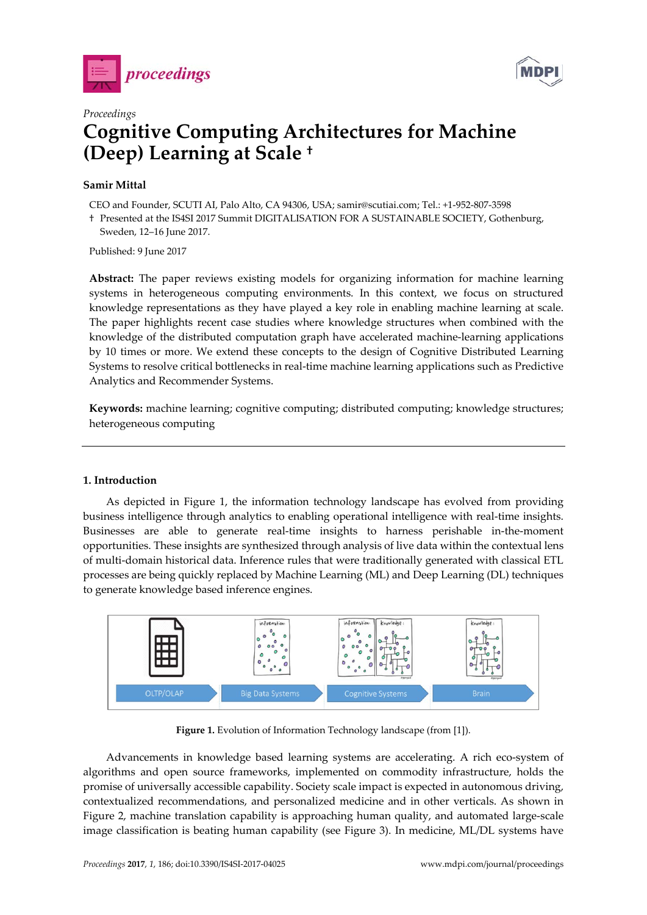



# *Proceedings* **Cognitive Computing Architectures for Machine (Deep) Learning at Scale †**

## **Samir Mittal**

CEO and Founder, SCUTI AI, Palo Alto, CA 94306, USA; samir@scutiai.com; Tel.: +1-952-807-3598

† Presented at the IS4SI 2017 Summit DIGITALISATION FOR A SUSTAINABLE SOCIETY, Gothenburg, Sweden, 12–16 June 2017.

Published: 9 June 2017

**Abstract:** The paper reviews existing models for organizing information for machine learning systems in heterogeneous computing environments. In this context, we focus on structured knowledge representations as they have played a key role in enabling machine learning at scale. The paper highlights recent case studies where knowledge structures when combined with the knowledge of the distributed computation graph have accelerated machine-learning applications by 10 times or more. We extend these concepts to the design of Cognitive Distributed Learning Systems to resolve critical bottlenecks in real-time machine learning applications such as Predictive Analytics and Recommender Systems.

**Keywords:** machine learning; cognitive computing; distributed computing; knowledge structures; heterogeneous computing

#### **1. Introduction**

As depicted in Figure 1, the information technology landscape has evolved from providing business intelligence through analytics to enabling operational intelligence with real-time insights. Businesses are able to generate real-time insights to harness perishable in-the-moment opportunities. These insights are synthesized through analysis of live data within the contextual lens of multi-domain historical data. Inference rules that were traditionally generated with classical ETL processes are being quickly replaced by Machine Learning (ML) and Deep Learning (DL) techniques to generate knowledge based inference engines.



Figure 1. Evolution of Information Technology landscape (from [1]).

Advancements in knowledge based learning systems are accelerating. A rich eco-system of algorithms and open source frameworks, implemented on commodity infrastructure, holds the promise of universally accessible capability. Society scale impact is expected in autonomous driving, contextualized recommendations, and personalized medicine and in other verticals. As shown in Figure 2, machine translation capability is approaching human quality, and automated large-scale image classification is beating human capability (see Figure 3). In medicine, ML/DL systems have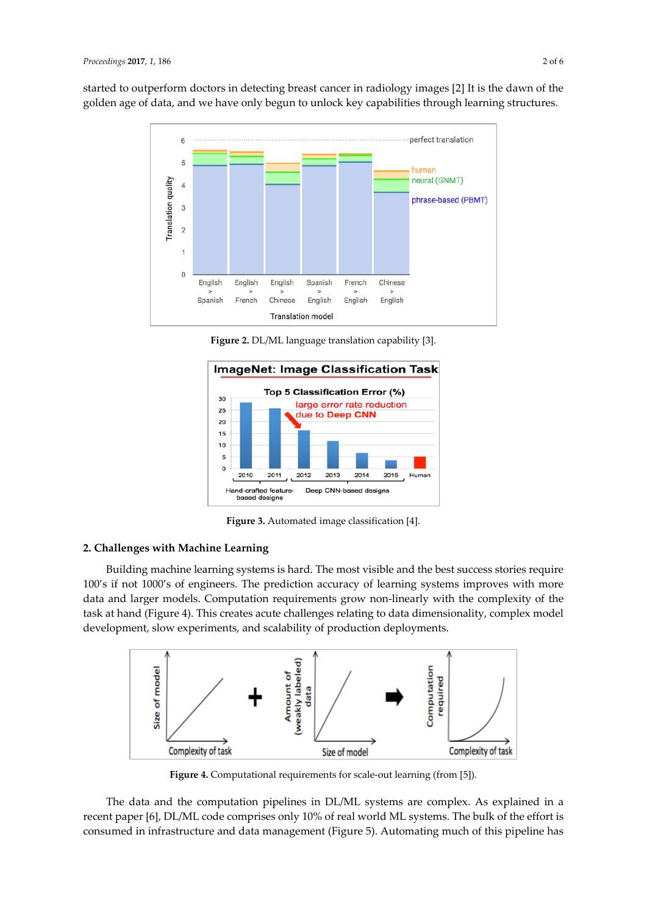started to outperform doctors in detecting breast cancer in radiology images [2] It is the dawn of the golden age of data, and we have only begun to unlock key capabilities through learning structures.



**Figure 2.** DL/ML language translation capability [3].



**Figure 3.** Automated image classification [4].

## **2. Challenges with Machine Learning**

Building machine learning systems is hard. The most visible and the best success stories require 100's if not 1000's of engineers. The prediction accuracy of learning systems improves with more data and larger models. Computation requirements grow non-linearly with the complexity of the task at hand (Figure 4). This creates acute challenges relating to data dimensionality, complex model development, slow experiments, and scalability of production deployments.



**Figure 4.** Computational requirements for scale-out learning (from [5]).

The data and the computation pipelines in DL/ML systems are complex. As explained in a recent paper [6], DL/ML code comprises only 10% of real world ML systems. The bulk of the effort is consumed in infrastructure and data management (Figure 5). Automating much of this pipeline has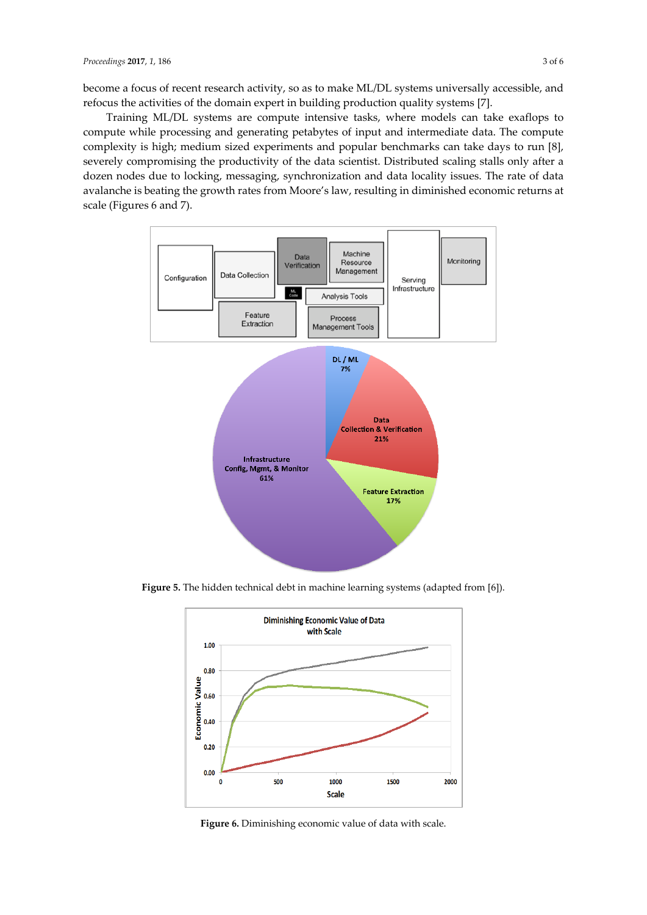become a focus of recent research activity, so as to make ML/DL systems universally accessible, and refocus the activities of the domain expert in building production quality systems [7].

Training ML/DL systems are compute intensive tasks, where models can take exaflops to compute while processing and generating petabytes of input and intermediate data. The compute complexity is high; medium sized experiments and popular benchmarks can take days to run [8], severely compromising the productivity of the data scientist. Distributed scaling stalls only after a dozen nodes due to locking, messaging, synchronization and data locality issues. The rate of data avalanche is beating the growth rates from Moore's law, resulting in diminished economic returns at scale (Figures 6 and 7).



**Figure 5.** The hidden technical debt in machine learning systems (adapted from [6]).



**Figure 6.** Diminishing economic value of data with scale.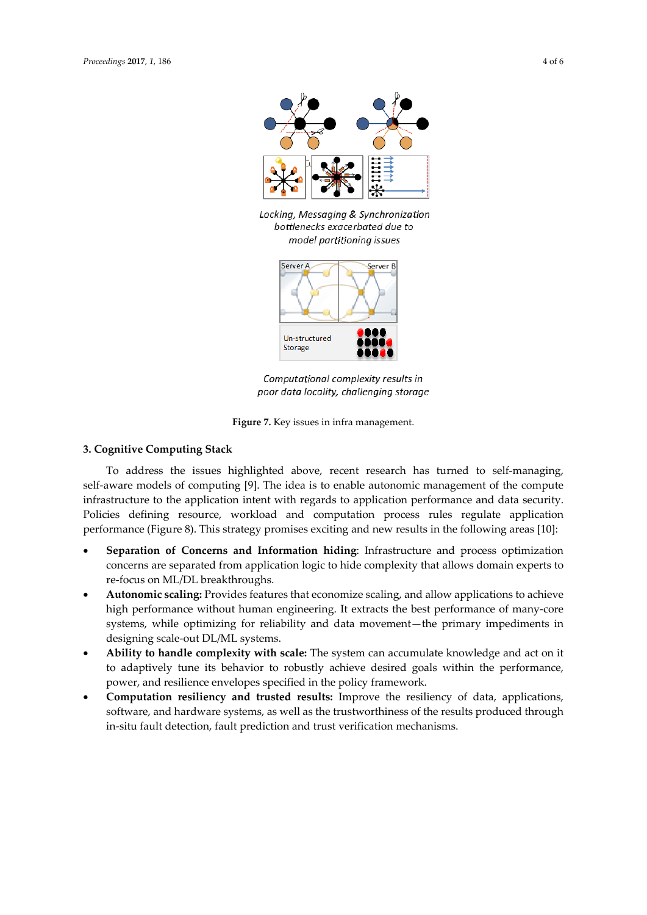

Locking, Messaging & Synchronization bottlenecks exacerbated due to model partitioning issues



Computational complexity results in poor data locality, challenging storage

**Figure 7.** Key issues in infra management.

### **3. Cognitive Computing Stack**

To address the issues highlighted above, recent research has turned to self-managing, self-aware models of computing [9]. The idea is to enable autonomic management of the compute infrastructure to the application intent with regards to application performance and data security. Policies defining resource, workload and computation process rules regulate application performance (Figure 8). This strategy promises exciting and new results in the following areas [10]:

- **Separation of Concerns and Information hiding**: Infrastructure and process optimization concerns are separated from application logic to hide complexity that allows domain experts to re-focus on ML/DL breakthroughs.
- **Autonomic scaling:** Provides features that economize scaling, and allow applications to achieve high performance without human engineering. It extracts the best performance of many-core systems, while optimizing for reliability and data movement—the primary impediments in designing scale-out DL/ML systems.
- **Ability to handle complexity with scale:** The system can accumulate knowledge and act on it to adaptively tune its behavior to robustly achieve desired goals within the performance, power, and resilience envelopes specified in the policy framework.
- **Computation resiliency and trusted results:** Improve the resiliency of data, applications, software, and hardware systems, as well as the trustworthiness of the results produced through in-situ fault detection, fault prediction and trust verification mechanisms.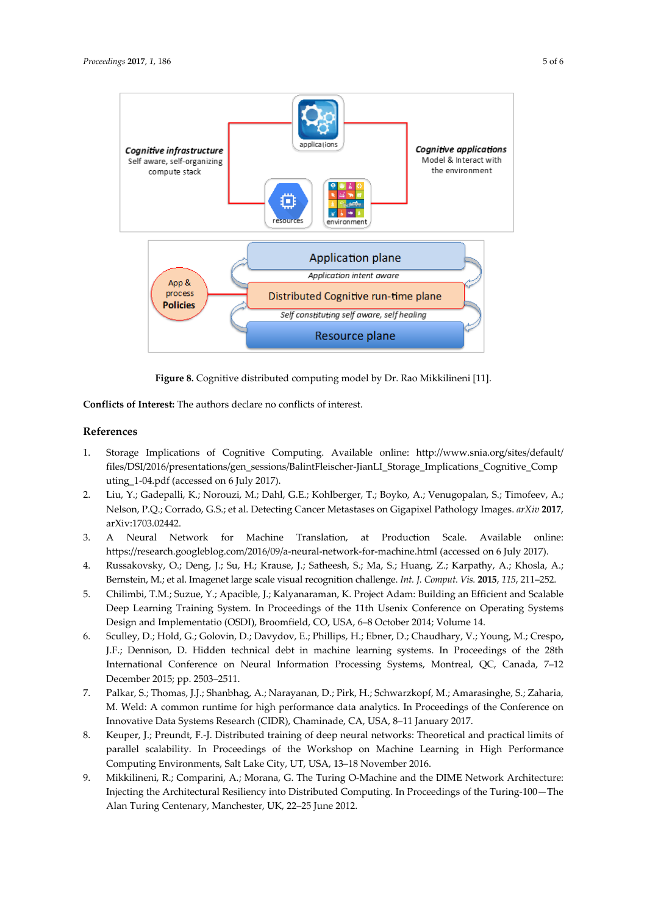

**Figure 8.** Cognitive distributed computing model by Dr. Rao Mikkilineni [11].

**Conflicts of Interest:** The authors declare no conflicts of interest.

#### **References**

- 1. Storage Implications of Cognitive Computing. Available online: [http://www.snia.org/sites/default/](http://www.snia.org/sites/default/files/DSI/2016/presentations/gen_sessions/BalintFleischer-JianLI_Storage_Implications_Cognitive_Computing_1-04.pdf) [files/DSI/2016/presentations/gen\\_sessions/BalintFleischer-JianLI\\_Storage\\_Implications\\_Cognitive\\_Comp](http://www.snia.org/sites/default/files/DSI/2016/presentations/gen_sessions/BalintFleischer-JianLI_Storage_Implications_Cognitive_Computing_1-04.pdf) [uting\\_1-04.pdf](http://www.snia.org/sites/default/files/DSI/2016/presentations/gen_sessions/BalintFleischer-JianLI_Storage_Implications_Cognitive_Computing_1-04.pdf) (accessed on 6 July 2017).
- 2. Liu, Y.; [Gadepalli,](https://arxiv.org/find/cs/1/au:+Gadepalli_K/0/1/0/all/0/1) K.; [Norouzi,](https://arxiv.org/find/cs/1/au:+Norouzi_M/0/1/0/all/0/1) M.; [Dahl,](https://arxiv.org/find/cs/1/au:+Dahl_G/0/1/0/all/0/1) G.E.; [Kohlberger,](https://arxiv.org/find/cs/1/au:+Kohlberger_T/0/1/0/all/0/1) T.[; Boyko,](https://arxiv.org/find/cs/1/au:+Boyko_A/0/1/0/all/0/1) A.; [Venugopalan,](https://arxiv.org/find/cs/1/au:+Venugopalan_S/0/1/0/all/0/1) S.; [Timofeev,](https://arxiv.org/find/cs/1/au:+Timofeev_A/0/1/0/all/0/1) A.; [Nelson,](https://arxiv.org/find/cs/1/au:+Nelson_P/0/1/0/all/0/1) P.Q.; [Corrado,](https://arxiv.org/find/cs/1/au:+Corrado_G/0/1/0/all/0/1) G.S.; et al. Detecting Cancer Metastases on Gigapixel Pathology Images. *arXiv* **2017**, arXiv:1703.02442.
- 3. A Neural Network for Machine Translation, at Production Scale. Available online: <https://research.googleblog.com/2016/09/a-neural-network-for-machine.html> (accessed on 6 July 2017).
- 4. Russakovsky, O.; Deng, J.; Su, H.; Krause, J.; Satheesh, S.; Ma, S.; Huang, Z.; Karpathy, A.; Khosla, A.; Bernstein, M.; et al. Imagenet large scale visual recognition challenge. *Int. J. Comput. Vis.* **2015**, *115*, 211–252.
- 5. Chilimbi, T.M.; Suzue, Y.; Apacible, J.; Kalyanaraman, K. Project Adam: Building an Efficient and Scalable Deep Learning Training System. In Proceedings of the 11th Usenix Conference on Operating Systems Design and Implementatio (OSDI), Broomfield, CO, USA, 6–8 October 2014; Volume 14.
- 6. Sculley, D.; Hold, G.; Golovin, D.; Davydov, E.; Phillips, H.; [Ebner,](http://dl.acm.org/author_page.cfm?id=81337488934&coll=DL&dl=ACM&trk=0&cfid=956080009&cftoken=79363873) D.[; Chaudhary,](http://dl.acm.org/author_page.cfm?id=99659047724&coll=DL&dl=ACM&trk=0&cfid=956080009&cftoken=79363873) V.[; Young,](http://dl.acm.org/author_page.cfm?id=82658700357&coll=DL&dl=ACM&trk=0&cfid=956080009&cftoken=79363873) M.; Crespo**,** J.F.; [Dennison,](http://dl.acm.org/author_page.cfm?id=99659048792&coll=DL&dl=ACM&trk=0&cfid=956080009&cftoken=79363873) D. Hidden technical debt in machine learning systems. In Proceedings of the 28th International Conference on Neural Information Processing Systems, Montreal, QC, Canada, 7–12 December 2015; pp. 2503–2511.
- 7. Palkar, S.; Thomas, J.J.; Shanbhag, A.; Narayanan, D.; Pirk, H.; Schwarzkopf, M.; Amarasinghe, S.; Zaharia, M. Weld: A common runtime for high performance data analytics. In Proceedings of the Conference on Innovative Data Systems Research (CIDR), Chaminade, CA, USA, 8–11 January 2017.
- 8. Keuper, J.; Preundt, F.-J. Distributed training of deep neural networks: Theoretical and practical limits of parallel scalability. In Proceedings of the Workshop on Machine Learning in High Performance Computing Environments, Salt Lake City, UT, USA, 13–18 November 2016.
- 9. Mikkilineni, R.; Comparini, A.; Morana, G. The Turing O-Machine and the DIME Network Architecture: Injecting the Architectural Resiliency into Distributed Computing. In Proceedings of the [Turing-100—The](http://www.pubzone.org/pages/publications/showVenue.do?venueId=60665)  [Alan Turing Centenary,](http://www.pubzone.org/pages/publications/showVenue.do?venueId=60665) Manchester, UK, 22–25 June 2012.